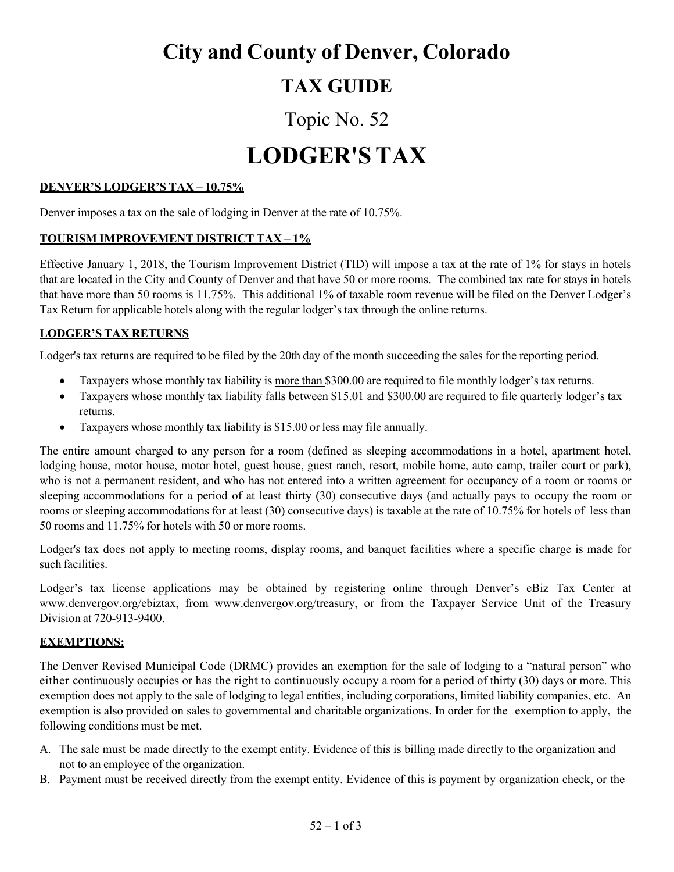# **City and County of Denver, Colorado**

## **TAX GUIDE**

# Topic No. 52

# **LODGER'S TAX**

## **DENVER'S LODGER'S TAX – 10.75%**

Denver imposes a tax on the sale of lodging in Denver at the rate of 10.75%.

### **TOURISM IMPROVEMENT DISTRICT TAX – 1%**

Effective January 1, 2018, the Tourism Improvement District (TID) will impose a tax at the rate of 1% for stays in hotels that are located in the City and County of Denver and that have 50 or more rooms. The combined tax rate for stays in hotels that have more than 50 rooms is 11.75%. This additional 1% of taxable room revenue will be filed on the Denver Lodger's Tax Return for applicable hotels along with the regular lodger's tax through the online returns.

#### **LODGER'S TAX RETURNS**

Lodger's tax returns are required to be filed by the 20th day of the month succeeding the sales for the reporting period.

- Taxpayers whose monthly tax liability is more than \$300.00 are required to file monthly lodger's tax returns.
- Taxpayers whose monthly tax liability falls between \$15.01 and \$300.00 are required to file quarterly lodger's tax returns.
- Taxpayers whose monthly tax liability is \$15.00 or less may file annually.

The entire amount charged to any person for a room (defined as sleeping accommodations in a hotel, apartment hotel, lodging house, motor house, motor hotel, guest house, guest ranch, resort, mobile home, auto camp, trailer court or park), who is not a permanent resident, and who has not entered into a written agreement for occupancy of a room or rooms or sleeping accommodations for a period of at least thirty (30) consecutive days (and actually pays to occupy the room or rooms or sleeping accommodations for at least (30) consecutive days) is taxable at the rate of 10.75% for hotels of less than 50 rooms and 11.75% for hotels with 50 or more rooms.

Lodger's tax does not apply to meeting rooms, display rooms, and banquet facilities where a specific charge is made for such facilities.

Lodger's tax license applications may be obtained by registering online through Denver's eBiz Tax Center at [www.denvergov.org/ebiztax,](http://www.denvergov.org/ebiztax) from [www.denvergov.org/treasury,](http://www.denvergov.org/treasury) or from the Taxpayer Service Unit of the Treasury Division at 720-913-9400.

#### **EXEMPTIONS:**

The Denver Revised Municipal Code (DRMC) provides an exemption for the sale of lodging to a "natural person" who either continuously occupies or has the right to continuously occupy a room for a period of thirty (30) days or more. This exemption does not apply to the sale of lodging to legal entities, including corporations, limited liability companies, etc. An exemption is also provided on sales to governmental and charitable organizations. In order for the exemption to apply, the following conditions must be met.

- A. The sale must be made directly to the exempt entity. Evidence of this is billing made directly to the organization and not to an employee of the organization.
- B. Payment must be received directly from the exempt entity. Evidence of this is payment by organization check, or the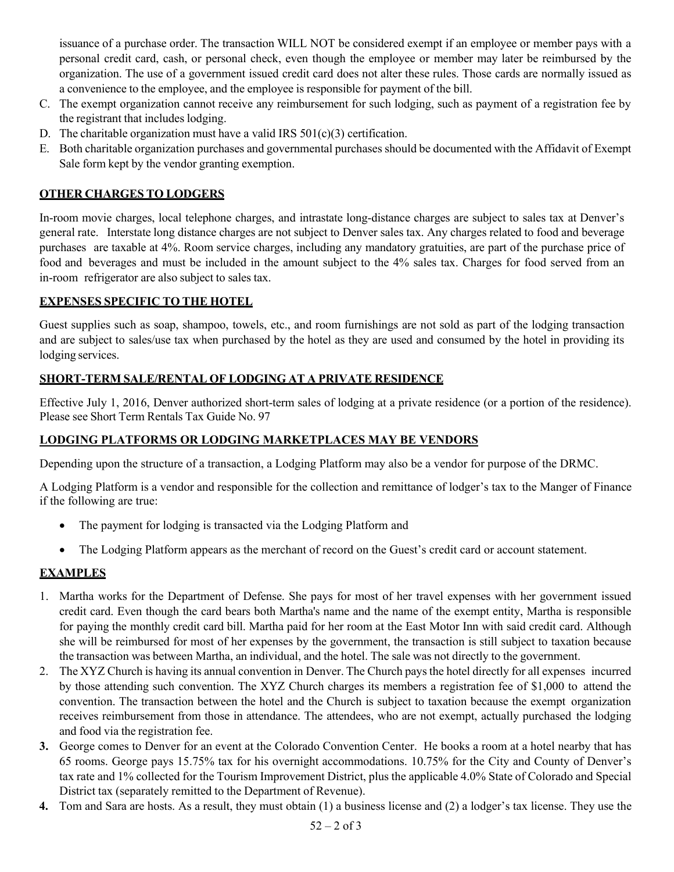issuance of a purchase order. The transaction WILL NOT be considered exempt if an employee or member pays with a personal credit card, cash, or personal check, even though the employee or member may later be reimbursed by the organization. The use of a government issued credit card does not alter these rules. Those cards are normally issued as a convenience to the employee, and the employee is responsible for payment of the bill.

- C. The exempt organization cannot receive any reimbursement for such lodging, such as payment of a registration fee by the registrant that includes lodging.
- D. The charitable organization must have a valid IRS  $501(c)(3)$  certification.
- E. Both charitable organization purchases and governmental purchases should be documented with the Affidavit of Exempt Sale form kept by the vendor granting exemption.

### **OTHER CHARGES TO LODGERS**

In-room movie charges, local telephone charges, and intrastate long-distance charges are subject to sales tax at Denver's general rate. Interstate long distance charges are not subject to Denver sales tax. Any charges related to food and beverage purchases are taxable at 4%. Room service charges, including any mandatory gratuities, are part of the purchase price of food and beverages and must be included in the amount subject to the 4% sales tax. Charges for food served from an in-room refrigerator are also subject to sales tax.

#### **EXPENSES SPECIFIC TO THE HOTEL**

Guest supplies such as soap, shampoo, towels, etc., and room furnishings are not sold as part of the lodging transaction and are subject to sales/use tax when purchased by the hotel as they are used and consumed by the hotel in providing its lodging services.

#### **SHORT-TERM SALE/RENTAL OF LODGING AT A PRIVATE RESIDENCE**

Effective July 1, 2016, Denver authorized short-term sales of lodging at a private residence (or a portion of the residence). Please see Short Term Rentals Tax Guide No. 97

#### **LODGING PLATFORMS OR LODGING MARKETPLACES MAY BE VENDORS**

Depending upon the structure of a transaction, a Lodging Platform may also be a vendor for purpose of the DRMC.

A Lodging Platform is a vendor and responsible for the collection and remittance of lodger's tax to the Manger of Finance if the following are true:

- The payment for lodging is transacted via the Lodging Platform and
- The Lodging Platform appears as the merchant of record on the Guest's credit card or account statement.

#### **EXAMPLES**

- 1. Martha works for the Department of Defense. She pays for most of her travel expenses with her government issued credit card. Even though the card bears both Martha's name and the name of the exempt entity, Martha is responsible for paying the monthly credit card bill. Martha paid for her room at the East Motor Inn with said credit card. Although she will be reimbursed for most of her expenses by the government, the transaction is still subject to taxation because the transaction was between Martha, an individual, and the hotel. The sale was not directly to the government.
- 2. The XYZ Church is having its annual convention in Denver. The Church pays the hotel directly for all expenses incurred by those attending such convention. The XYZ Church charges its members a registration fee of \$1,000 to attend the convention. The transaction between the hotel and the Church is subject to taxation because the exempt organization receives reimbursement from those in attendance. The attendees, who are not exempt, actually purchased the lodging and food via the registration fee.
- **3.** George comes to Denver for an event at the Colorado Convention Center. He books a room at a hotel nearby that has 65 rooms. George pays 15.75% tax for his overnight accommodations. 10.75% for the City and County of Denver's tax rate and 1% collected for the Tourism Improvement District, plus the applicable 4.0% State of Colorado and Special District tax (separately remitted to the Department of Revenue).
- **4.** Tom and Sara are hosts. As a result, they must obtain (1) a business license and (2) a lodger's tax license. They use the